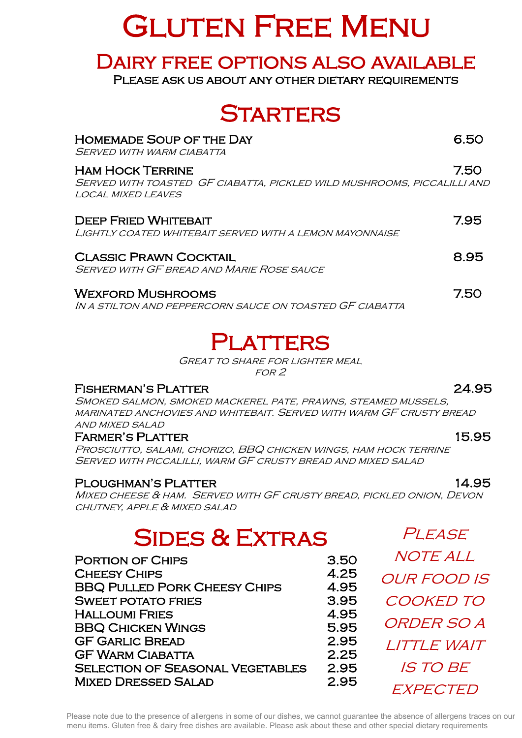# **GLUTEN FREE MENU**

## Dairy free options also available

PLEASE ASK US ABOUT ANY OTHER DIETARY REQUIREMENTS

## **STARTERS**

| <b>HOMEMADE SOUP OF THE DAY</b><br>Served with warm ciabatta                                                             |      |
|--------------------------------------------------------------------------------------------------------------------------|------|
| <b>HAM HOCK TERRINE</b><br>SERVED WITH TOASTED GF CIABATTA, PICKLED WILD MUSHROOMS, PICCALILLI AND<br>LOCAL MIXED LEAVES | 7.50 |
| <b>DEEP FRIED WHITEBAIT</b><br>LIGHTLY COATED WHITEBAIT SERVED WITH A LEMON MAYONNAISE                                   | 7.95 |
| <b>CLASSIC PRAWN COCKTAIL</b><br><b>SERVED WITH GF BREAD AND MARIE ROSE SAUCE</b>                                        | 8.95 |
| <b>WEXFORD MUSHROOMS</b><br>IN A STILTON AND PEPPERCORN SAUCE ON TOASTED GE CIABATTA                                     | 7.50 |

## PLATTERS

Great to share for lighter meal for 2

## FISHERMAN'S PLATTER<br>Chared Charles Charles Martener Battle Branch Cteauer Miccello

SMORED SAEMON, SMORED MACREREL I ATE, I RAWNS, STEAMED MOSSELS,<br>MARINATED ANCHOVIES AND WHITEBAIT. SERVED WITH WARM GF CRUSTY BREAD<br>AND MIXED SALAD Smoked salmon, smoked mackerel pate, prawns, steamed mussels, and mixed salad

### FARMER'S PLATTER 15.95

Prosciutto, salami, chorizo, BBQ chicken wings, ham hock terrine<br>Served with piccalilli, warm GF crusty bread and mixed salad Served with piccalilli, warm GF crusty bread and mixed salad

### PLOUGHMAN'S PLATTER 14.95

r LOUGHMAN S FLATTER<br>MIXED CHEESE & HAM. SERVED WITH GF CRUSTY BREAD, PICKLED ONION, DEVON<br>CULTNEY, ARBLE & MIXED CALAD chutney, apple & mixed salad

## Sides & Extras

| 3.50 |
|------|
| 4.25 |
| 4.95 |
| 3.95 |
| 4.95 |
| 5.95 |
| 2.95 |
| 2.25 |
| 2.95 |
| 2.95 |
|      |

**PLEASE** NOTE ALL our food is cooked to order so a little wait **IS TO BE** EXPECTED

Please note due to the presence of allergens in some of our dishes, we cannot guarantee the absence of allergens traces on our menu items. Gluten free & dairy free dishes are available. Please ask about these and other special dietary requirements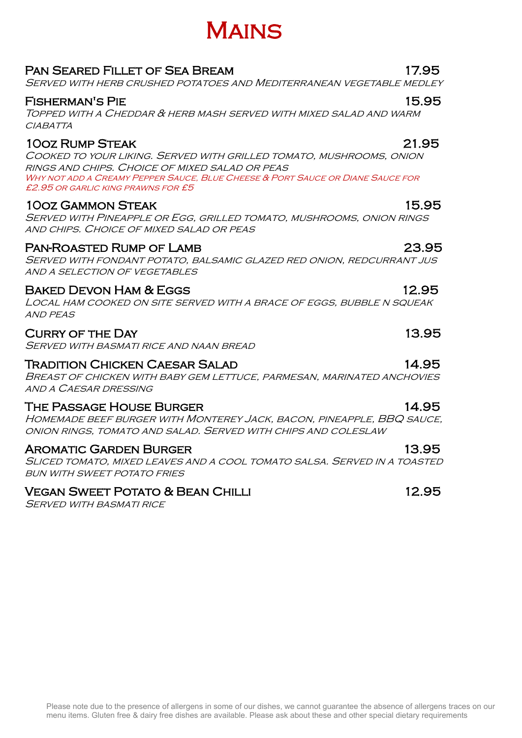### Please note due to the presence of allergens in some of our dishes, we cannot guarantee the absence of allergens traces on our menu items. Gluten free & dairy free dishes are available. Please ask about these and other special dietary requirements

### Pan Seared Fillet of Sea Bream 17.95

### Served with herb crushed potatoes and Mediterranean vegetable medley

### Fisherman's Pie 15.95

Topped with a Cheddar & herb mash served with mixed salad and warm **CIABATTA** 

### 10oz Rump Steak 21.95

Cooked to your liking. Served with grilled tomato, mushrooms, onion rings and chips. Choice of mixed salad or peas Why not add a Creamy Pepper Sauce, Blue Cheese & Port Sauce or Diane Sauce for £2.95 or garlic king prawns for £5

### 10oz Gammon Steak 15.95

Served with Pineapple or Egg, grilled tomato, mushrooms, onion rings and chips. Choice of mixed salad or peas

### PAN-ROASTED RUMP OF LAMB 23.95

Served with fondant potato, balsamic glazed red onion, redcurrant jus and a selection of vegetables

### BAKED DEVON HAM & EGGS 12.95

Local ham cooked on site served with a brace of eggs, bubble n squeak and peas

### Curry of the Day 13.95

Served with basmati rice and naan bread

### Tradition Chicken Caesar Salad 14.95

Breast of chicken with baby gem lettuce, parmesan, marinated anchovies and a Caesar dressing

### The Passage House Burger 14.95

Homemade beef burger with Monterey Jack, bacon, pineapple, BBQ sauce, onion rings, tomato and salad. Served with chips and coleslaw

### Aromatic Garden Burger 13.95

Sliced tomato, mixed leaves and a cool tomato salsa. Served in a toasted bun with sweet potato fries

### Vegan Sweet Potato & Bean Chilli 12.95

SERVED WITH BASMATI RICE

## Mains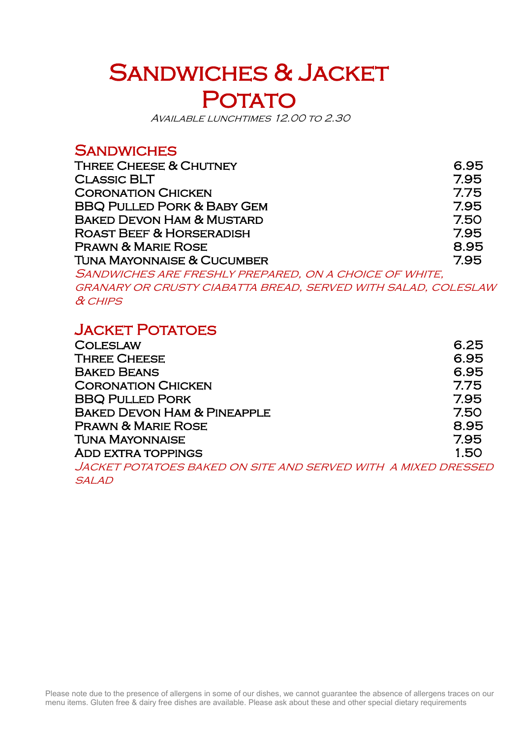## SANDWICHES & JACKET POTATO

Available lunchtimes 12.00 to 2.30

### **SANDWICHES**

| <b>THREE CHEESE &amp; CHUTNEY</b>     | 6.95 |
|---------------------------------------|------|
| <b>CLASSIC BLT</b>                    | 7.95 |
| <b>CORONATION CHICKEN</b>             | 7.75 |
| <b>BBQ PULLED PORK &amp; BABY GEM</b> | 7.95 |
| <b>BAKED DEVON HAM &amp; MUSTARD</b>  | 7.50 |
| <b>ROAST BEEF &amp; HORSERADISH</b>   | 7.95 |
| <b>PRAWN &amp; MARIE ROSE</b>         | 8.95 |
| <b>TUNA MAYONNAISE &amp; CUCUMBER</b> | 7.95 |

Sandwiches are freshly prepared, on a choice of white,

granary or crusty ciabatta bread, served with salad, coleslaw & chips

### **JACKET POTATOES**

| <b>COLESLAW</b>                                               | 6.25 |
|---------------------------------------------------------------|------|
| <b>THREE CHEESE</b>                                           | 6.95 |
| <b>BAKED BEANS</b>                                            | 6.95 |
| <b>CORONATION CHICKEN</b>                                     | 7.75 |
| <b>BBQ PULLED PORK</b>                                        | 7.95 |
| <b>BAKED DEVON HAM &amp; PINEAPPLE</b>                        | 7.50 |
| <b>PRAWN &amp; MARIE ROSE</b>                                 | 8.95 |
| <b>TUNA MAYONNAISE</b>                                        | 7.95 |
| <b>ADD EXTRA TOPPINGS</b>                                     | 1.50 |
| JACKET POTATOES BAKED ON SITE AND SERVED WITH A MIXED DRESSED |      |

salad